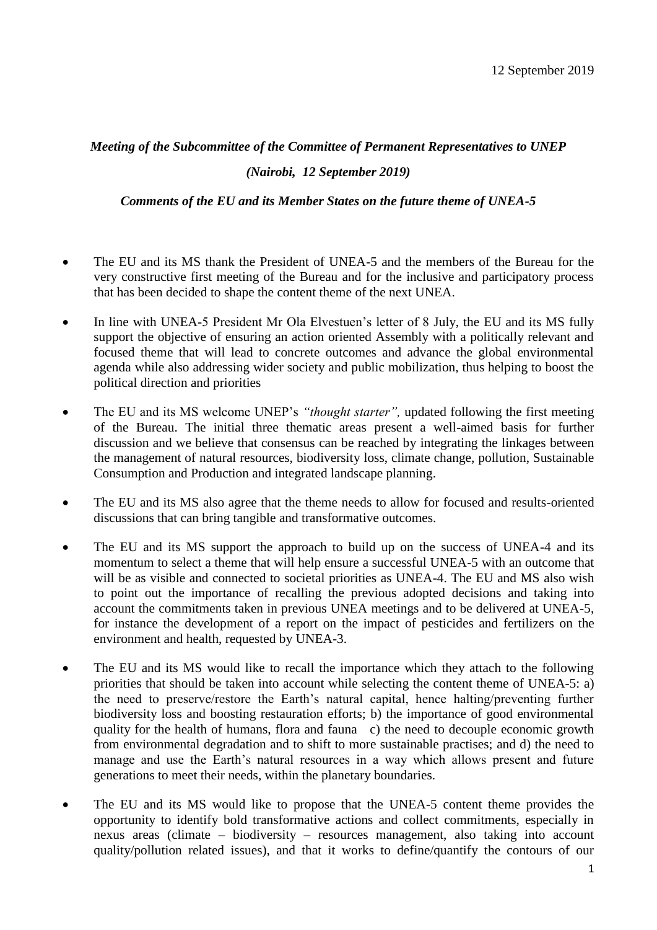## *Meeting of the Subcommittee of the Committee of Permanent Representatives to UNEP*

## *(Nairobi, 12 September 2019)*

*Comments of the EU and its Member States on the future theme of UNEA-5*

- The EU and its MS thank the President of UNEA-5 and the members of the Bureau for the very constructive first meeting of the Bureau and for the inclusive and participatory process that has been decided to shape the content theme of the next UNEA.
- In line with UNEA-5 President Mr Ola Elvestuen's letter of 8 July, the EU and its MS fully support the objective of ensuring an action oriented Assembly with a politically relevant and focused theme that will lead to concrete outcomes and advance the global environmental agenda while also addressing wider society and public mobilization, thus helping to boost the political direction and priorities
- The EU and its MS welcome UNEP's *"thought starter"*, updated following the first meeting of the Bureau. The initial three thematic areas present a well-aimed basis for further discussion and we believe that consensus can be reached by integrating the linkages between the management of natural resources, biodiversity loss, climate change, pollution, Sustainable Consumption and Production and integrated landscape planning.
- The EU and its MS also agree that the theme needs to allow for focused and results-oriented discussions that can bring tangible and transformative outcomes.
- The EU and its MS support the approach to build up on the success of UNEA-4 and its momentum to select a theme that will help ensure a successful UNEA-5 with an outcome that will be as visible and connected to societal priorities as UNEA-4. The EU and MS also wish to point out the importance of recalling the previous adopted decisions and taking into account the commitments taken in previous UNEA meetings and to be delivered at UNEA-5, for instance the development of a report on the impact of pesticides and fertilizers on the environment and health, requested by UNEA-3.
- The EU and its MS would like to recall the importance which they attach to the following priorities that should be taken into account while selecting the content theme of UNEA-5: a) the need to preserve/restore the Earth's natural capital, hence halting/preventing further biodiversity loss and boosting restauration efforts; b) the importance of good environmental quality for the health of humans, flora and fauna c) the need to decouple economic growth from environmental degradation and to shift to more sustainable practises; and d) the need to manage and use the Earth's natural resources in a way which allows present and future generations to meet their needs, within the planetary boundaries.
- The EU and its MS would like to propose that the UNEA-5 content theme provides the opportunity to identify bold transformative actions and collect commitments, especially in nexus areas (climate – biodiversity – resources management, also taking into account quality/pollution related issues), and that it works to define/quantify the contours of our